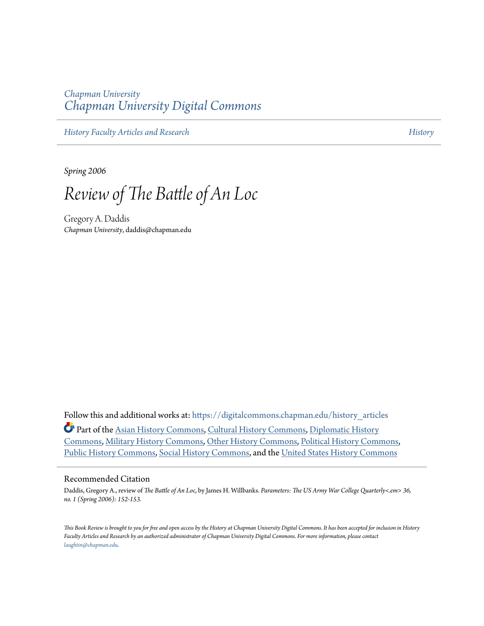## *Chapman University [Chapman University Digital Commons](https://digitalcommons.chapman.edu?utm_source=digitalcommons.chapman.edu%2Fhistory_articles%2F50&utm_medium=PDF&utm_campaign=PDFCoverPages)*

*[History Faculty Articles and Research](https://digitalcommons.chapman.edu/history_articles?utm_source=digitalcommons.chapman.edu%2Fhistory_articles%2F50&utm_medium=PDF&utm_campaign=PDFCoverPages) [History](https://digitalcommons.chapman.edu/history?utm_source=digitalcommons.chapman.edu%2Fhistory_articles%2F50&utm_medium=PDF&utm_campaign=PDFCoverPages)*

*Spring 2006*

*Review of The Battle of An Loc*

Gregory A. Daddis *Chapman University*, daddis@chapman.edu

Follow this and additional works at: [https://digitalcommons.chapman.edu/history\\_articles](https://digitalcommons.chapman.edu/history_articles?utm_source=digitalcommons.chapman.edu%2Fhistory_articles%2F50&utm_medium=PDF&utm_campaign=PDFCoverPages) Part of the [Asian History Commons](http://network.bepress.com/hgg/discipline/491?utm_source=digitalcommons.chapman.edu%2Fhistory_articles%2F50&utm_medium=PDF&utm_campaign=PDFCoverPages), [Cultural History Commons](http://network.bepress.com/hgg/discipline/496?utm_source=digitalcommons.chapman.edu%2Fhistory_articles%2F50&utm_medium=PDF&utm_campaign=PDFCoverPages), [Diplomatic History](http://network.bepress.com/hgg/discipline/497?utm_source=digitalcommons.chapman.edu%2Fhistory_articles%2F50&utm_medium=PDF&utm_campaign=PDFCoverPages) [Commons,](http://network.bepress.com/hgg/discipline/497?utm_source=digitalcommons.chapman.edu%2Fhistory_articles%2F50&utm_medium=PDF&utm_campaign=PDFCoverPages) [Military History Commons](http://network.bepress.com/hgg/discipline/504?utm_source=digitalcommons.chapman.edu%2Fhistory_articles%2F50&utm_medium=PDF&utm_campaign=PDFCoverPages), [Other History Commons](http://network.bepress.com/hgg/discipline/508?utm_source=digitalcommons.chapman.edu%2Fhistory_articles%2F50&utm_medium=PDF&utm_campaign=PDFCoverPages), [Political History Commons](http://network.bepress.com/hgg/discipline/505?utm_source=digitalcommons.chapman.edu%2Fhistory_articles%2F50&utm_medium=PDF&utm_campaign=PDFCoverPages), [Public History Commons,](http://network.bepress.com/hgg/discipline/1292?utm_source=digitalcommons.chapman.edu%2Fhistory_articles%2F50&utm_medium=PDF&utm_campaign=PDFCoverPages) [Social History Commons](http://network.bepress.com/hgg/discipline/506?utm_source=digitalcommons.chapman.edu%2Fhistory_articles%2F50&utm_medium=PDF&utm_campaign=PDFCoverPages), and the [United States History Commons](http://network.bepress.com/hgg/discipline/495?utm_source=digitalcommons.chapman.edu%2Fhistory_articles%2F50&utm_medium=PDF&utm_campaign=PDFCoverPages)

## Recommended Citation

Daddis, Gregory A., review of *The Battle of An Loc*, by James H. Willbanks. *Parameters: The US Army War College Quarterly<.em> 36, no. 1 (Spring 2006): 152-153.*

*This Book Review is brought to you for free and open access by the History at Chapman University Digital Commons. It has been accepted for inclusion in History Faculty Articles and Research by an authorized administrator of Chapman University Digital Commons. For more information, please contact [laughtin@chapman.edu.](mailto:laughtin@chapman.edu)*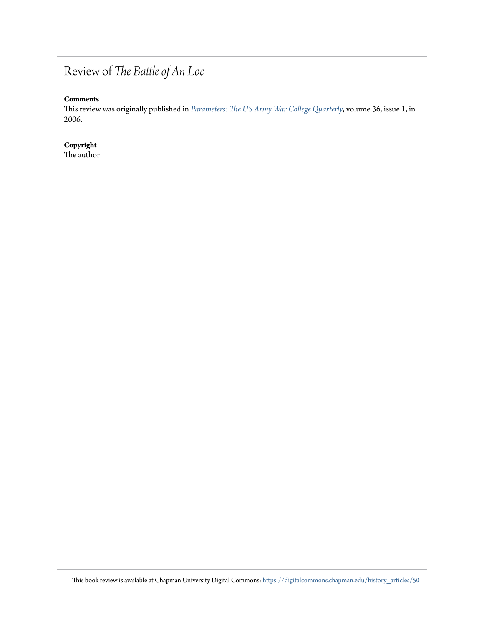## Review of *The Battle of An Loc*

## **Comments**

This review was originally published in *[Parameters: The US Army War College Quarterly](https://ssi.armywarcollege.edu/pubs/parameters/)*, volume 36, issue 1, in 2006.

**Copyright** The author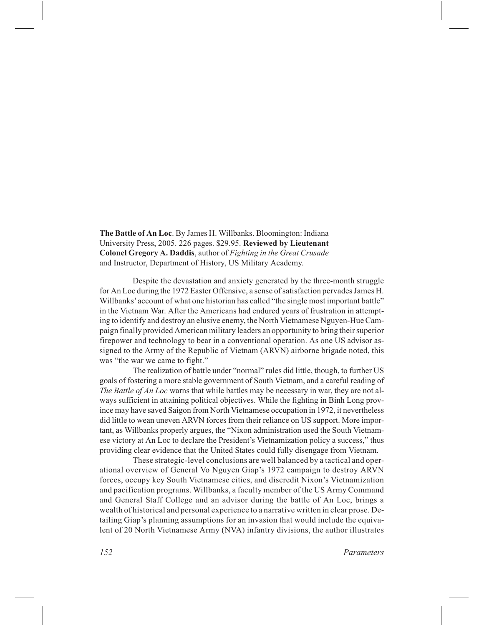**The Battle of An Loc**. By James H. Willbanks. Bloomington: Indiana University Press, 2005. 226 pages. \$29.95. **Reviewed by Lieutenant Colonel Gregory A. Daddis**, author of *Fighting in the Great Crusade* and Instructor, Department of History, US Military Academy.

Despite the devastation and anxiety generated by the three-month struggle for An Loc during the 1972 Easter Offensive, a sense of satisfaction pervades James H. Willbanks'account of what one historian has called "the single most important battle" in the Vietnam War. After the Americans had endured years of frustration in attempting to identify and destroy an elusive enemy, the North Vietnamese Nguyen-Hue Campaign finally provided American military leaders an opportunity to bring their superior firepower and technology to bear in a conventional operation. As one US advisor assigned to the Army of the Republic of Vietnam (ARVN) airborne brigade noted, this was "the war we came to fight."

The realization of battle under "normal" rules did little, though, to further US goals of fostering a more stable government of South Vietnam, and a careful reading of *The Battle of An Loc* warns that while battles may be necessary in war, they are not always sufficient in attaining political objectives. While the fighting in Binh Long province may have saved Saigon from North Vietnamese occupation in 1972, it nevertheless did little to wean uneven ARVN forces from their reliance on US support. More important, as Willbanks properly argues, the "Nixon administration used the South Vietnamese victory at An Loc to declare the President's Vietnamization policy a success," thus providing clear evidence that the United States could fully disengage from Vietnam.

These strategic-level conclusions are well balanced by a tactical and operational overview of General Vo Nguyen Giap's 1972 campaign to destroy ARVN forces, occupy key South Vietnamese cities, and discredit Nixon's Vietnamization and pacification programs. Willbanks, a faculty member of the US Army Command and General Staff College and an advisor during the battle of An Loc, brings a wealth of historical and personal experience to a narrative written in clear prose. Detailing Giap's planning assumptions for an invasion that would include the equivalent of 20 North Vietnamese Army (NVA) infantry divisions, the author illustrates